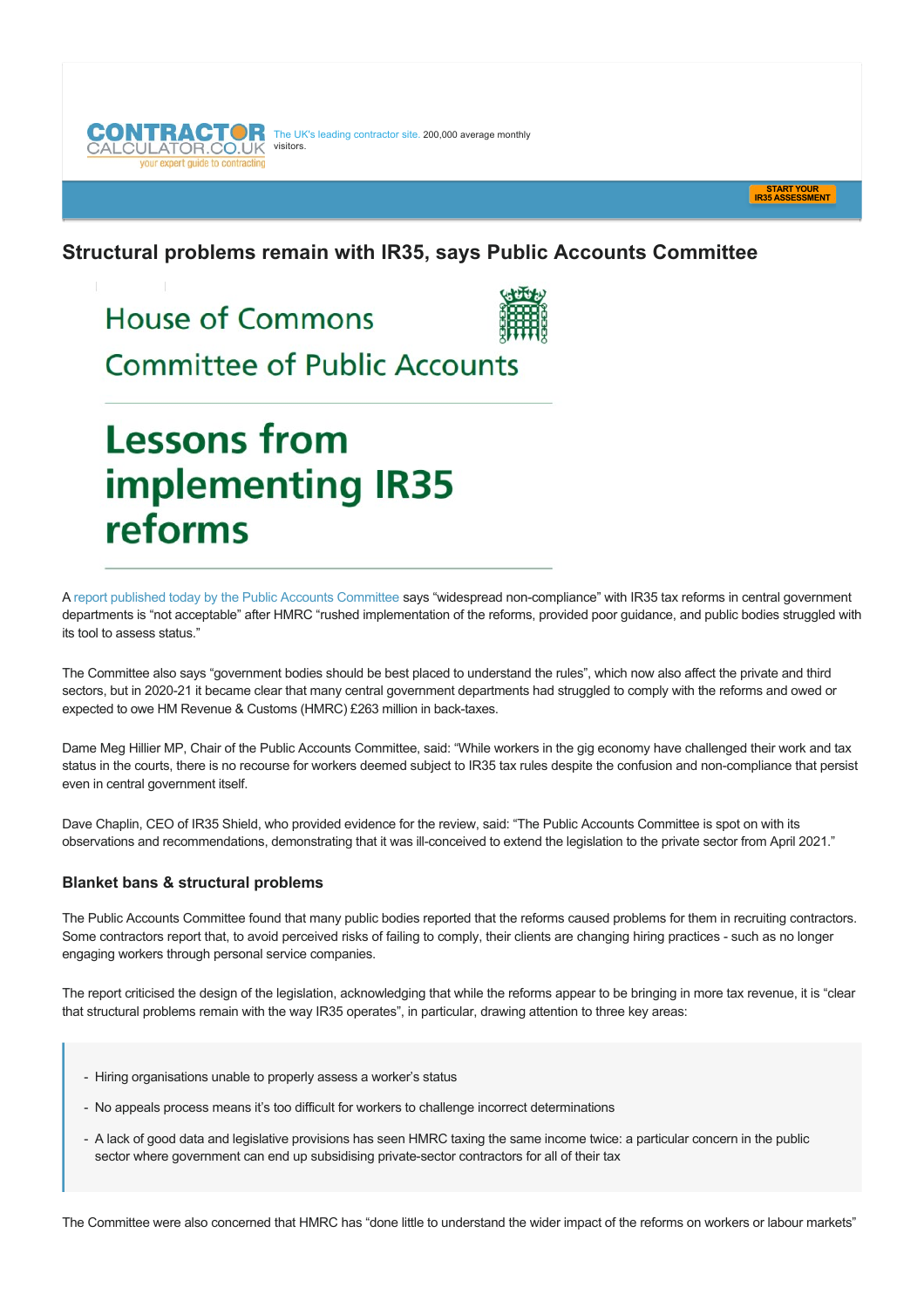The UK's leading contractor site. 200,000 average monthly visitors. your expert quide to cor



# **Structural problems remain with IR35, says Public Accounts Committee**

**House of Commons** 



**Committee of Public Accounts** 

**Lessons from implementing IR35** reforms

A [report published today by the Public Accounts Committee](https://committees.parliament.uk/publications/22345/documents/165286/default/) says "widespread non-compliance" with IR35 tax reforms in central government departments is "not acceptable" after HMRC "rushed implementation of the reforms, provided poor quidance, and public bodies struggled with its tool to assess status."

The Committee also says "government bodies should be best placed to understand the rules", which now also affect the private and third sectors, but in 2020-21 it became clear that many central government departments had struggled to comply with the reforms and owed or expected to owe HM Revenue & Customs (HMRC) £263 million in back-taxes.

Dame Meg Hillier MP, Chair of the Public Accounts Committee, said: "While workers in the gig economy have challenged their work and tax status in the courts, there is no recourse for workers deemed subject to IR35 tax rules despite the confusion and noncompliance that persist even in central government itself.

Dave Chaplin, CEO of IR35 Shield, who provided evidence for the review, said: "The Public Accounts Committee is spot on with its observations and recommendations, demonstrating that it was ill-conceived to extend the legislation to the private sector from April 2021."

#### **Blanket bans & structural problems**

The Public Accounts Committee found that many public bodies reported that the reforms caused problems for them in recruiting contractors. Some contractors report that, to avoid perceived risks of failing to comply, their clients are changing hiring practices - such as no longer engaging workers through personal service companies.

The report criticised the design of the legislation, acknowledging that while the reforms appear to be bringing in more tax revenue, it is "clear that structural problems remain with the way IR35 operates", in particular, drawing attention to three key areas:

- Hiring organisations unable to properly assess a worker's status
- No appeals process means it's too difficult for workers to challenge incorrect determinations
- A lack of good data and legislative provisions has seen HMRC taxing the same income twice: a particular concern in the public sector where government can end up subsidising private-sector contractors for all of their tax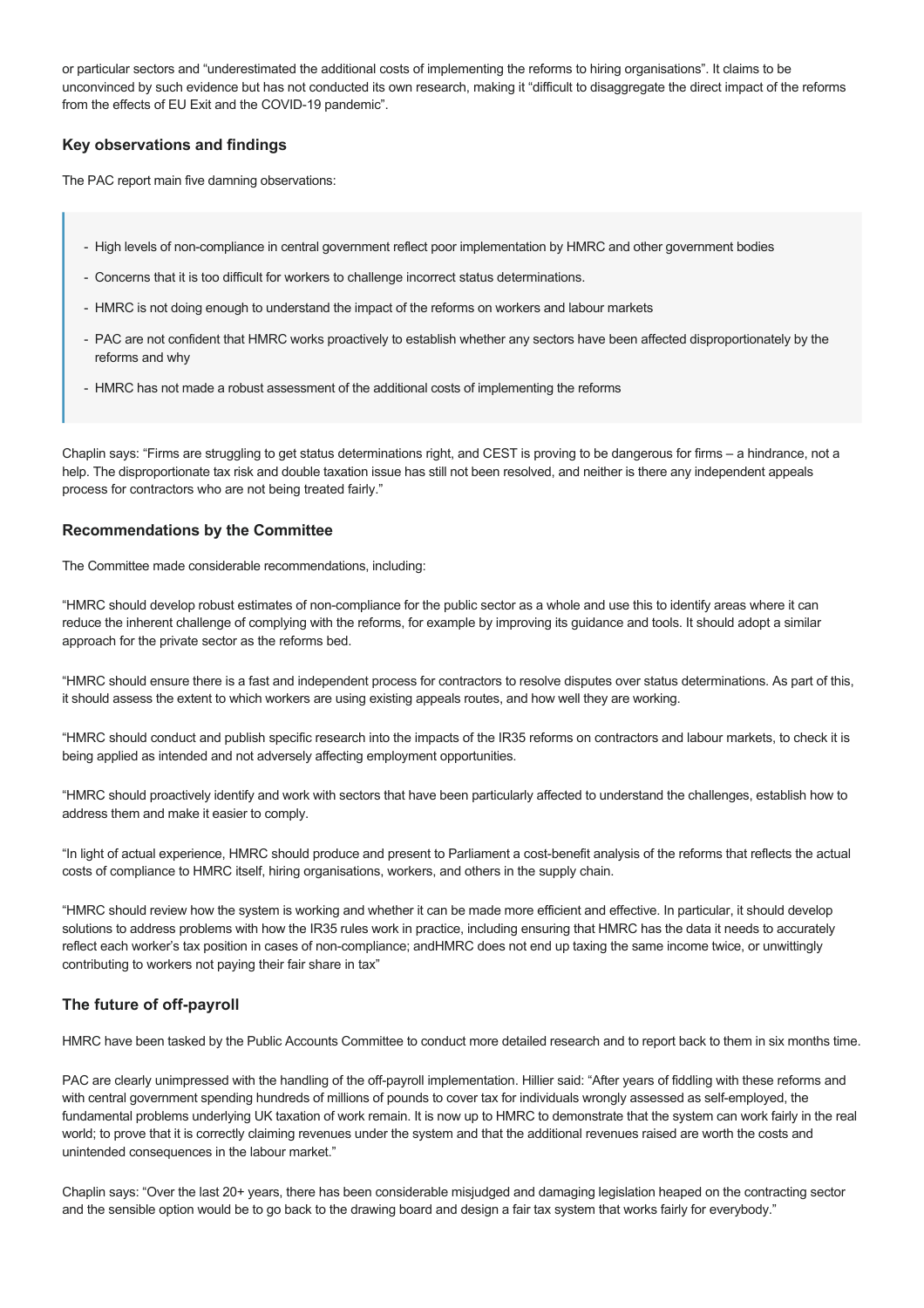or particular sectors and "underestimated the additional costs of implementing the reforms to hiring organisations". It claims to be unconvinced by such evidence but has not conducted its own research, making it "difficult to disaggregate the direct impact of the reforms from the effects of EU Exit and the COVID-19 pandemic".

## **Key observations and findings**

The PAC report main five damning observations:

- High levels of non-compliance in central government reflect poor implementation by HMRC and other government bodies
- Concerns that it is too difficult for workers to challenge incorrect status determinations.
- HMRC is not doing enough to understand the impact of the reforms on workers and labour markets
- PAC are not confident that HMRC works proactively to establish whether any sectors have been affected disproportionately by the reforms and why
- HMRC has not made a robust assessment of the additional costs of implementing the reforms

Chaplin says: "Firms are struggling to get status determinations right, and CEST is proving to be dangerous for firms – a hindrance, not a help. The disproportionate tax risk and double taxation issue has still not been resolved, and neither is there any independent appeals process for contractors who are not being treated fairly."

#### **Recommendations by the Committee**

The Committee made considerable recommendations, including:

"HMRC should develop robust estimates of non-compliance for the public sector as a whole and use this to identify areas where it can reduce the inherent challenge of complying with the reforms, for example by improving its guidance and tools. It should adopt a similar approach for the private sector as the reforms bed.

"HMRC should ensure there is a fast and independent process for contractors to resolve disputes over status determinations. As part of this, it should assess the extent to which workers are using existing appeals routes, and how well they are working.

"HMRC should conduct and publish specific research into the impacts of the IR35 reforms on contractors and labour markets, to check it is being applied as intended and not adversely affecting employment opportunities.

"HMRC should proactively identify and work with sectors that have been particularly affected to understand the challenges, establish how to address them and make it easier to comply.

"In light of actual experience, HMRC should produce and present to Parliament a cost-benefit analysis of the reforms that reflects the actual costs of compliance to HMRC itself, hiring organisations, workers, and others in the supply chain.

"HMRC should review how the system is working and whether it can be made more efficient and effective. In particular, it should develop solutions to address problems with how the IR35 rules work in practice, including ensuring that HMRC has the data it needs to accurately reflect each worker's tax position in cases of non-compliance; andHMRC does not end up taxing the same income twice, or unwittingly contributing to workers not paying their fair share in tax"

# **The future of off-payroll**

HMRC have been tasked by the Public Accounts Committee to conduct more detailed research and to report back to them in six months time.

PAC are clearly unimpressed with the handling of the off-payroll implementation. Hillier said: "After years of fiddling with these reforms and with central government spending hundreds of millions of pounds to cover tax for individuals wrongly assessed as selfemployed, the fundamental problems underlying UK taxation of work remain. It is now up to HMRC to demonstrate that the system can work fairly in the real world; to prove that it is correctly claiming revenues under the system and that the additional revenues raised are worth the costs and unintended consequences in the labour market."

Chaplin says: "Over the last 20+ years, there has been considerable misjudged and damaging legislation heaped on the contracting sector and the sensible option would be to go back to the drawing board and design a fair tax system that works fairly for everybody."